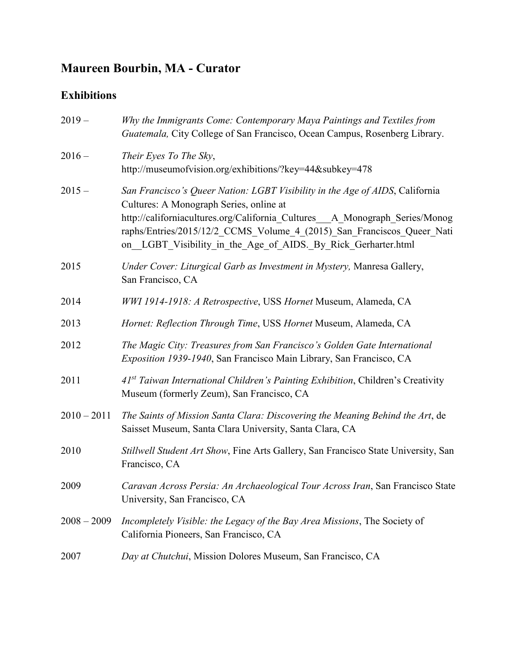## Maureen Bourbin, MA - Curator

## Exhibitions

| $2019 -$      | Why the Immigrants Come: Contemporary Maya Paintings and Textiles from<br>Guatemala, City College of San Francisco, Ocean Campus, Rosenberg Library.                                                                                                                                                                                             |
|---------------|--------------------------------------------------------------------------------------------------------------------------------------------------------------------------------------------------------------------------------------------------------------------------------------------------------------------------------------------------|
| $2016 -$      | Their Eyes To The Sky,<br>http://museumofvision.org/exhibitions/?key=44&subkey=478                                                                                                                                                                                                                                                               |
| $2015 -$      | San Francisco's Queer Nation: LGBT Visibility in the Age of AIDS, California<br>Cultures: A Monograph Series, online at<br>http://californiacultures.org/California_Cultures_A_Monograph_Series/Monog<br>raphs/Entries/2015/12/2 CCMS Volume 4 (2015) San Franciscos Queer Nati<br>on_LGBT_Visibility_in_the_Age_of_AIDS._By_Rick_Gerharter.html |
| 2015          | Under Cover: Liturgical Garb as Investment in Mystery, Manresa Gallery,<br>San Francisco, CA                                                                                                                                                                                                                                                     |
| 2014          | WWI 1914-1918: A Retrospective, USS Hornet Museum, Alameda, CA                                                                                                                                                                                                                                                                                   |
| 2013          | Hornet: Reflection Through Time, USS Hornet Museum, Alameda, CA                                                                                                                                                                                                                                                                                  |
| 2012          | The Magic City: Treasures from San Francisco's Golden Gate International<br>Exposition 1939-1940, San Francisco Main Library, San Francisco, CA                                                                                                                                                                                                  |
| 2011          | 41 <sup>st</sup> Taiwan International Children's Painting Exhibition, Children's Creativity<br>Museum (formerly Zeum), San Francisco, CA                                                                                                                                                                                                         |
| $2010 - 2011$ | The Saints of Mission Santa Clara: Discovering the Meaning Behind the Art, de<br>Saisset Museum, Santa Clara University, Santa Clara, CA                                                                                                                                                                                                         |
| 2010          | Stillwell Student Art Show, Fine Arts Gallery, San Francisco State University, San<br>Francisco, CA                                                                                                                                                                                                                                              |
| 2009          | Caravan Across Persia: An Archaeological Tour Across Iran, San Francisco State<br>University, San Francisco, CA                                                                                                                                                                                                                                  |
| $2008 - 2009$ | Incompletely Visible: the Legacy of the Bay Area Missions, The Society of<br>California Pioneers, San Francisco, CA                                                                                                                                                                                                                              |
| 2007          | Day at Chutchui, Mission Dolores Museum, San Francisco, CA                                                                                                                                                                                                                                                                                       |
|               |                                                                                                                                                                                                                                                                                                                                                  |